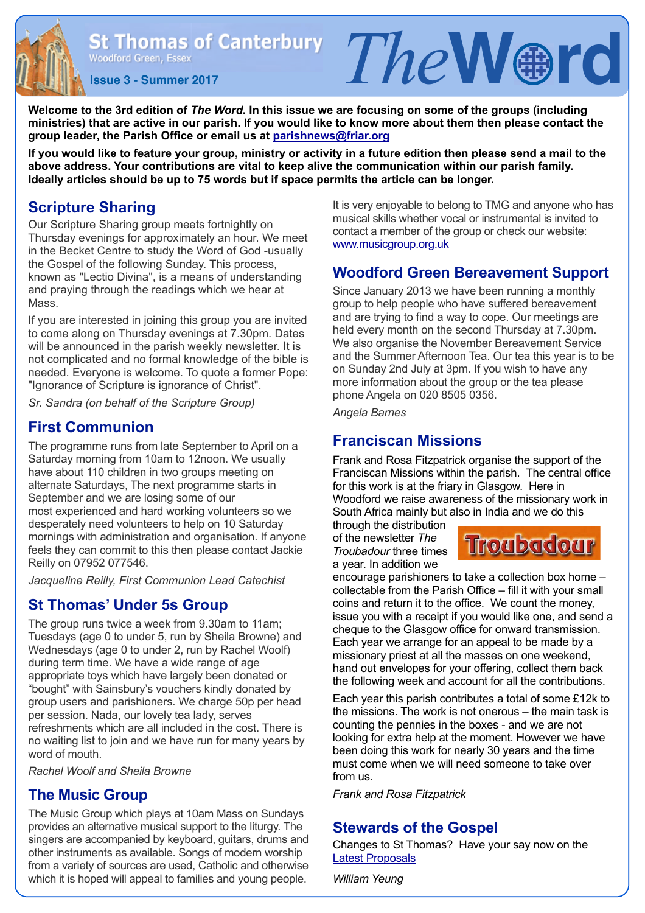**Issue 3 - Summer 2017**<br>**Issue 3 - Summer 2017** 

**Welcome to the 3rd edition of** *The Word***. In this issue we are focusing on some of the groups (including ministries) that are active in our parish. If you would like to know more about them then please contact the group leader, the Parish Office or email us at [parishnews@friar.org](mailto:parishnews@friar.org)**

**If you would like to feature your group, ministry or activity in a future edition then please send a mail to the above address. Your contributions are vital to keep alive the communication within our parish family. Ideally articles should be up to 75 words but if space permits the article can be longer.** 

## **Scripture Sharing**

Our Scripture Sharing group meets fortnightly on Thursday evenings for approximately an hour. We meet in the Becket Centre to study the Word of God -usually the Gospel of the following Sunday. This process, known as "Lectio Divina", is a means of understanding and praying through the readings which we hear at Mass.

If you are interested in joining this group you are invited to come along on Thursday evenings at 7.30pm. Dates will be announced in the parish weekly newsletter. It is not complicated and no formal knowledge of the bible is needed. Everyone is welcome. To quote a former Pope: "Ignorance of Scripture is ignorance of Christ".

*Sr. Sandra (on behalf of the Scripture Group)*

#### **First Communion**

The programme runs from late September to April on a Saturday morning from 10am to 12noon. We usually have about 110 children in two groups meeting on alternate Saturdays, The next programme starts in September and we are losing some of our most experienced and hard working volunteers so we desperately need volunteers to help on 10 Saturday mornings with administration and organisation. If anyone feels they can commit to this then please contact Jackie Reilly on 07952 077546.

*Jacqueline Reilly, First Communion Lead Catechist*

#### **St Thomas' Under 5s Group**

The group runs twice a week from 9.30am to 11am; Tuesdays (age 0 to under 5, run by Sheila Browne) and Wednesdays (age 0 to under 2, run by Rachel Woolf) during term time. We have a wide range of age appropriate toys which have largely been donated or "bought" with Sainsbury's vouchers kindly donated by group users and parishioners. We charge 50p per head per session. Nada, our lovely tea lady, serves refreshments which are all included in the cost. There is no waiting list to join and we have run for many years by word of mouth.

*Rachel Woolf and Sheila Browne*

#### **The Music Group**

The Music Group which plays at 10am Mass on Sundays provides an alternative musical support to the liturgy. The singers are accompanied by keyboard, guitars, drums and other instruments as available. Songs of modern worship from a variety of sources are used, Catholic and otherwise which it is hoped will appeal to families and young people.

It is very enjoyable to belong to TMG and anyone who has musical skills whether vocal or instrumental is invited to contact a member of the group or check our website: [www.musicgroup.org.uk](http://www.musicgroup.org.uk)

## **Woodford Green Bereavement Support**

Since January 2013 we have been running a monthly group to help people who have suffered bereavement and are trying to find a way to cope. Our meetings are held every month on the second Thursday at 7.30pm. We also organise the November Bereavement Service and the Summer Afternoon Tea. Our tea this year is to be on Sunday 2nd July at 3pm. If you wish to have any more information about the group or the tea please phone Angela on 020 8505 0356.

*Angela Barnes*

## **Franciscan Missions**

Frank and Rosa Fitzpatrick organise the support of the Franciscan Missions within the parish. The central office for this work is at the friary in Glasgow. Here in Woodford we raise awareness of the missionary work in South Africa mainly but also in India and we do this

through the distribution of the newsletter *The Troubadour* three times a year. In addition we

# **Troubadour**

encourage parishioners to take a collection box home – collectable from the Parish Office – fill it with your small coins and return it to the office. We count the money, issue you with a receipt if you would like one, and send a cheque to the Glasgow office for onward transmission. Each year we arrange for an appeal to be made by a missionary priest at all the masses on one weekend, hand out envelopes for your offering, collect them back the following week and account for all the contributions.

Each year this parish contributes a total of some £12k to the missions. The work is not onerous – the main task is counting the pennies in the boxes - and we are not looking for extra help at the moment. However we have been doing this work for nearly 30 years and the time must come when we will need someone to take over from us.

*Frank and Rosa Fitzpatrick* 

# **Stewards of the Gospel**

Changes to St Thomas? Have your say now on the [Latest Proposals](https://drive.google.com/file/d/0B5eFNp419CZWWGg1ZXNfTDBTcGs/view) 

*William Yeung*